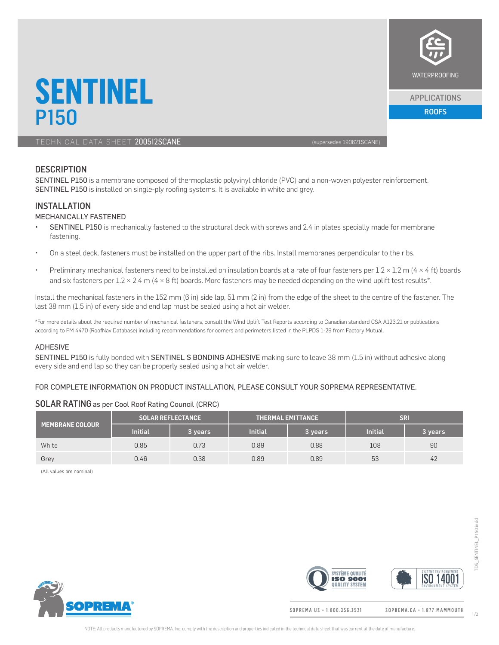

### APPLICATIONS

P150 ROOFS AND RESIDENCE IN THE SECOND CONTRACT OF THE SECOND CONTRACT OF THE SECOND CONTRACT OF THE SECOND CO

TECHNICAL DATA SHEET 200512SCANE (SUPERFORMERING SUPERFORMERING SUPERFORMERING SUPERFORMERING)

**SENTINEL**<br>P<sub>150</sub>

# **DESCRIPTION**

SENTINEL P150 is a membrane composed of thermoplastic polyvinyl chloride (PVC) and a non-woven polyester reinforcement. SENTINEL P150 is installed on single-ply roofing systems. It is available in white and grey.

#### INSTALLATION

#### MECHANICALLY FASTENED

- SENTINEL P150 is mechanically fastened to the structural deck with screws and 2.4 in plates specially made for membrane fastening.
- On a steel deck, fasteners must be installed on the upper part of the ribs. Install membranes perpendicular to the ribs.
- Preliminary mechanical fasteners need to be installed on insulation boards at a rate of four fasteners per  $1.2 \times 1.2$  m (4  $\times$  4 ft) boards and six fasteners per  $1.2 \times 2.4$  m (4  $\times$  8 ft) boards. More fasteners may be needed depending on the wind uplift test results\*.

Install the mechanical fasteners in the 152 mm (6 in) side lap, 51 mm (2 in) from the edge of the sheet to the centre of the fastener. The last 38 mm (1.5 in) of every side and end lap must be sealed using a hot air welder.

\*For more details about the required number of mechanical fasteners, consult the Wind Uplift Test Reports according to Canadian standard CSA A123.21 or publications according to FM 4470 (RoofNav Database) including recommendations for corners and perimeters listed in the PLPDS 1-29 from Factory Mutual.

#### ADHESIVE

SENTINEL P150 is fully bonded with SENTINEL S BONDING ADHESIVE making sure to leave 38 mm (1.5 in) without adhesive along every side and end lap so they can be properly sealed using a hot air welder.

#### FOR COMPLETE INFORMATION ON PRODUCT INSTALLATION, PLEASE CONSULT YOUR SOPREMA REPRESENTATIVE.

### SOLAR RATINGas per Cool Roof Rating Council (CRRC)

| <b>MEMBRANE COLOUR \</b> | <b>SOLAR REFLECTANCE</b> |           | <b>THERMAL EMITTANCE</b> |         | <b>SR</b> |          |
|--------------------------|--------------------------|-----------|--------------------------|---------|-----------|----------|
|                          | <b>Initial</b>           | 3 years i | <b>Initial</b>           | 3 years | Initial   | 3 years. |
| White                    | 0.85                     | 0.73      | 0.89                     | 0.88    | 108       | 90       |
| Grey                     | 0.46                     | 0.38      | 0.89                     | 0.89    | 53        | 42       |

(All values are nominal)





SOPREMA.US · 1.800.356.3521

SOPREMA.CA · 1.877. MAMMOUTH